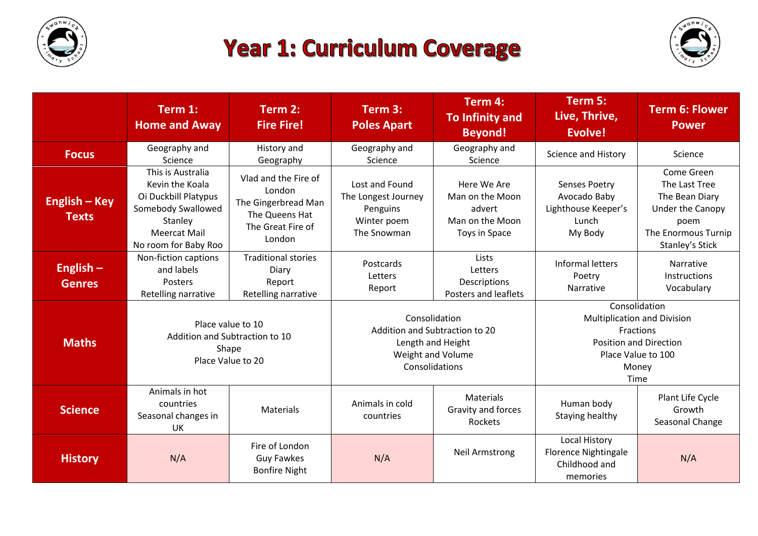

## **Year 1: Curriculum Coverage**



|                               | Term 1:<br><b>Home and Away</b>                                                                                                              | Term 2:<br><b>Fire Fire!</b>                                                                           | Term 3:<br><b>Poles Apart</b>                                                                               | Term 4:<br><b>To Infinity and</b><br><b>Beyond!</b>                          | Term 5:<br>Live, Thrive,<br>Evolve!                                                                                                      | <b>Term 6: Flower</b><br><b>Power</b>                                                                               |
|-------------------------------|----------------------------------------------------------------------------------------------------------------------------------------------|--------------------------------------------------------------------------------------------------------|-------------------------------------------------------------------------------------------------------------|------------------------------------------------------------------------------|------------------------------------------------------------------------------------------------------------------------------------------|---------------------------------------------------------------------------------------------------------------------|
| <b>Focus</b>                  | Geography and<br>Science                                                                                                                     | History and<br>Geography                                                                               | Geography and<br>Science                                                                                    | Geography and<br>Science                                                     | Science and History                                                                                                                      | Science                                                                                                             |
| English – Key<br><b>Texts</b> | This is Australia<br>Kevin the Koala<br>Oi Duckbill Platypus<br>Somebody Swallowed<br>Stanley<br><b>Meercat Mail</b><br>No room for Baby Roo | Vlad and the Fire of<br>London<br>The Gingerbread Man<br>The Queens Hat<br>The Great Fire of<br>London | Lost and Found<br>The Longest Journey<br>Penguins<br>Winter poem<br>The Snowman                             | Here We Are<br>Man on the Moon<br>advert<br>Man on the Moon<br>Toys in Space | <b>Senses Poetry</b><br>Avocado Baby<br>Lighthouse Keeper's<br>Lunch<br>My Body                                                          | Come Green<br>The Last Tree<br>The Bean Diary<br>Under the Canopy<br>poem<br>The Enormous Turnip<br>Stanley's Stick |
| English $-$<br><b>Genres</b>  | Non-fiction captions<br>and labels<br>Posters<br>Retelling narrative                                                                         | <b>Traditional stories</b><br>Diary<br>Report<br>Retelling narrative                                   | Postcards<br>Letters<br>Report                                                                              | Lists<br>Letters<br>Descriptions<br>Posters and leaflets                     | Informal letters<br>Poetry<br><b>Narrative</b>                                                                                           | Narrative<br><b>Instructions</b><br>Vocabulary                                                                      |
| <b>Maths</b>                  | Place value to 10<br>Addition and Subtraction to 10<br>Shape<br>Place Value to 20                                                            |                                                                                                        | Consolidation<br>Addition and Subtraction to 20<br>Length and Height<br>Weight and Volume<br>Consolidations |                                                                              | Consolidation<br><b>Multiplication and Division</b><br>Fractions<br><b>Position and Direction</b><br>Place Value to 100<br>Money<br>Time |                                                                                                                     |
| <b>Science</b>                | Animals in hot<br>countries<br>Seasonal changes in<br>UK                                                                                     | Materials                                                                                              | Animals in cold<br>countries                                                                                | Materials<br>Gravity and forces<br>Rockets                                   | Human body<br>Staying healthy                                                                                                            | Plant Life Cycle<br>Growth<br>Seasonal Change                                                                       |
| <b>History</b>                | N/A                                                                                                                                          | Fire of London<br><b>Guy Fawkes</b><br><b>Bonfire Night</b>                                            | N/A                                                                                                         | <b>Neil Armstrong</b>                                                        | <b>Local History</b><br><b>Florence Nightingale</b><br>Childhood and<br>memories                                                         | N/A                                                                                                                 |